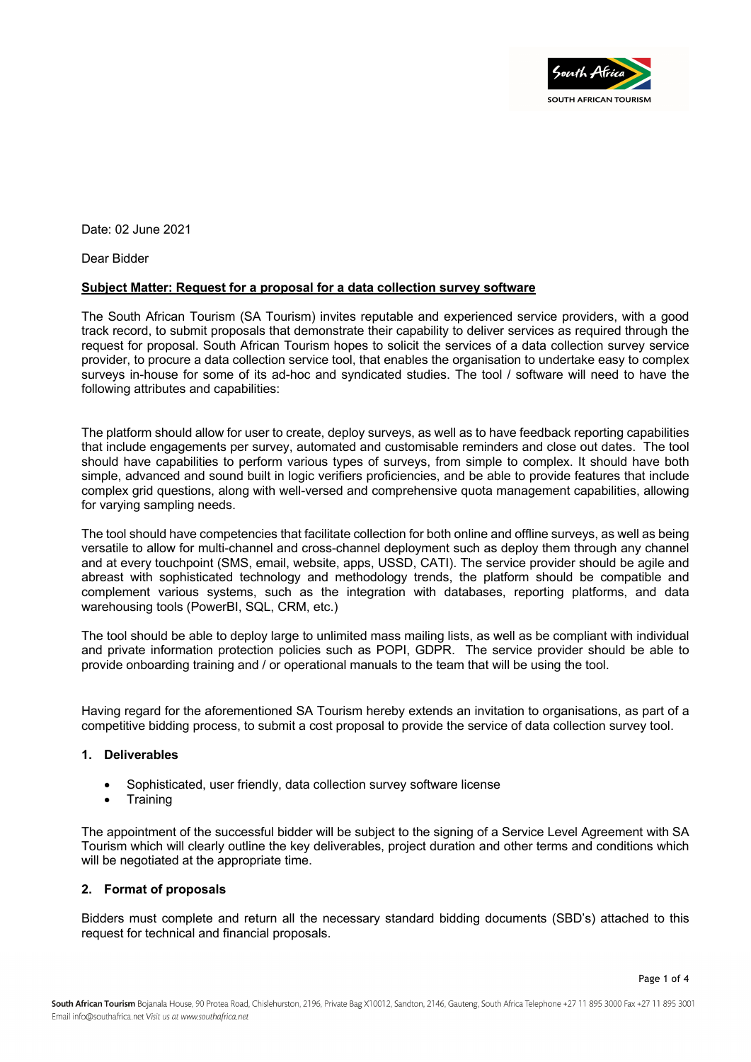

Date: 02 June 2021

Dear Bidder

## **Subject Matter: Request for a proposal for a data collection survey software**

The South African Tourism (SA Tourism) invites reputable and experienced service providers, with a good track record, to submit proposals that demonstrate their capability to deliver services as required through the request for proposal. South African Tourism hopes to solicit the services of a data collection survey service provider, to procure a data collection service tool, that enables the organisation to undertake easy to complex surveys in-house for some of its ad-hoc and syndicated studies. The tool / software will need to have the following attributes and capabilities:

The platform should allow for user to create, deploy surveys, as well as to have feedback reporting capabilities that include engagements per survey, automated and customisable reminders and close out dates. The tool should have capabilities to perform various types of surveys, from simple to complex. It should have both simple, advanced and sound built in logic verifiers proficiencies, and be able to provide features that include complex grid questions, along with well-versed and comprehensive quota management capabilities, allowing for varying sampling needs.

The tool should have competencies that facilitate collection for both online and offline surveys, as well as being versatile to allow for multi-channel and cross-channel deployment such as deploy them through any channel and at every touchpoint (SMS, email, website, apps, USSD, CATI). The service provider should be agile and abreast with sophisticated technology and methodology trends, the platform should be compatible and complement various systems, such as the integration with databases, reporting platforms, and data warehousing tools (PowerBI, SQL, CRM, etc.)

The tool should be able to deploy large to unlimited mass mailing lists, as well as be compliant with individual and private information protection policies such as POPI, GDPR. The service provider should be able to provide onboarding training and / or operational manuals to the team that will be using the tool.

Having regard for the aforementioned SA Tourism hereby extends an invitation to organisations, as part of a competitive bidding process, to submit a cost proposal to provide the service of data collection survey tool.

#### **1. Deliverables**

- Sophisticated, user friendly, data collection survey software license
- Training

The appointment of the successful bidder will be subject to the signing of a Service Level Agreement with SA Tourism which will clearly outline the key deliverables, project duration and other terms and conditions which will be negotiated at the appropriate time.

## **2. Format of proposals**

Bidders must complete and return all the necessary standard bidding documents (SBD's) attached to this request for technical and financial proposals.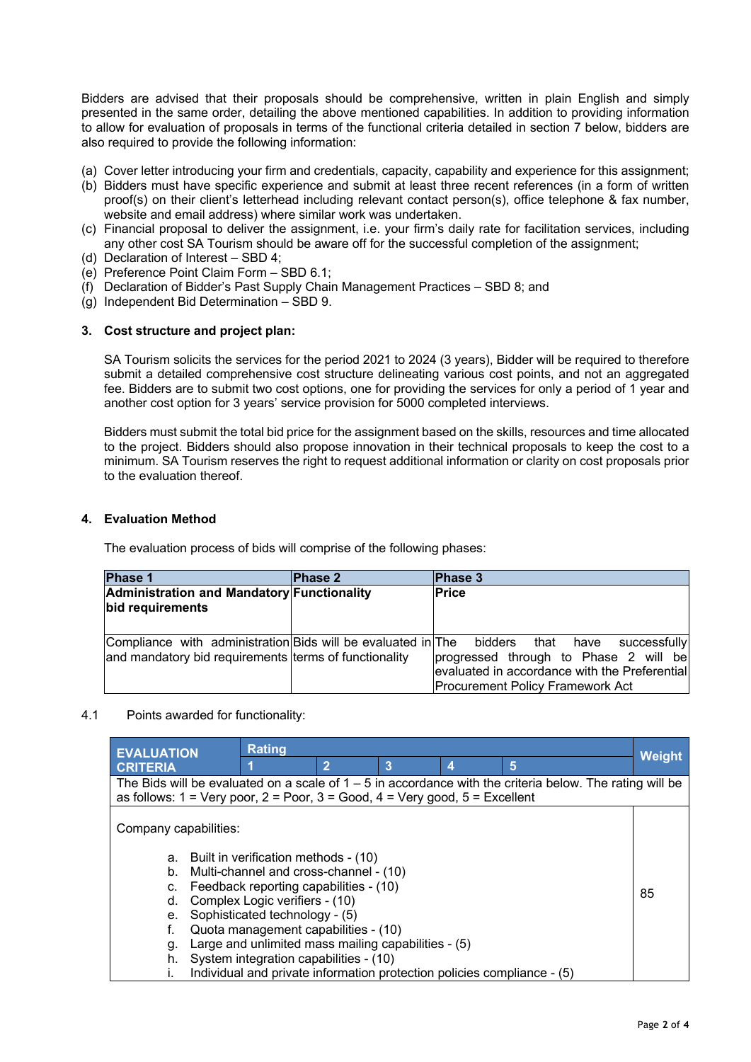Bidders are advised that their proposals should be comprehensive, written in plain English and simply presented in the same order, detailing the above mentioned capabilities. In addition to providing information to allow for evaluation of proposals in terms of the functional criteria detailed in section 7 below, bidders are also required to provide the following information:

- (a) Cover letter introducing your firm and credentials, capacity, capability and experience for this assignment;
- (b) Bidders must have specific experience and submit at least three recent references (in a form of written proof(s) on their client's letterhead including relevant contact person(s), office telephone & fax number, website and email address) where similar work was undertaken.
- (c) Financial proposal to deliver the assignment, i.e. your firm's daily rate for facilitation services, including any other cost SA Tourism should be aware off for the successful completion of the assignment;
- (d) Declaration of Interest SBD 4;
- (e) Preference Point Claim Form SBD 6.1;
- (f) Declaration of Bidder's Past Supply Chain Management Practices SBD 8; and
- (g) Independent Bid Determination SBD 9.

### **3. Cost structure and project plan:**

SA Tourism solicits the services for the period 2021 to 2024 (3 years), Bidder will be required to therefore submit a detailed comprehensive cost structure delineating various cost points, and not an aggregated fee. Bidders are to submit two cost options, one for providing the services for only a period of 1 year and another cost option for 3 years' service provision for 5000 completed interviews.

Bidders must submit the total bid price for the assignment based on the skills, resources and time allocated to the project. Bidders should also propose innovation in their technical proposals to keep the cost to a minimum. SA Tourism reserves the right to request additional information or clarity on cost proposals prior to the evaluation thereof.

## **4. Evaluation Method**

The evaluation process of bids will comprise of the following phases:

| <b>Phase 1</b>                                                                                                                          | <b>Phase 2</b> | <b>Phase 3</b>                                                                                                                                    |
|-----------------------------------------------------------------------------------------------------------------------------------------|----------------|---------------------------------------------------------------------------------------------------------------------------------------------------|
| Administration and Mandatory Functionality<br>bid requirements                                                                          |                | Price                                                                                                                                             |
| Compliance with administration Bids will be evaluated in The bidders that have<br>and mandatory bid requirements terms of functionality |                | successfully<br>progressed through to Phase 2 will be<br>evaluated in accordance with the Preferential<br><b>Procurement Policy Framework Act</b> |

#### 4.1 Points awarded for functionality:

| <b>Rating</b><br><b>EVALUATION</b>                                                                               |                                                                         |                |   |   |   |        |  |  |
|------------------------------------------------------------------------------------------------------------------|-------------------------------------------------------------------------|----------------|---|---|---|--------|--|--|
| <b>CRITERIA</b>                                                                                                  |                                                                         | $\overline{2}$ | 3 | 4 | 5 | Weight |  |  |
| The Bids will be evaluated on a scale of $1 - 5$ in accordance with the criteria below. The rating will be       |                                                                         |                |   |   |   |        |  |  |
| as follows: $1 = \text{Very poor}, 2 = \text{Poor}, 3 = \text{Good}, 4 = \text{Very good}, 5 = \text{Excellent}$ |                                                                         |                |   |   |   |        |  |  |
|                                                                                                                  |                                                                         |                |   |   |   |        |  |  |
| Company capabilities:                                                                                            |                                                                         |                |   |   |   |        |  |  |
|                                                                                                                  |                                                                         |                |   |   |   |        |  |  |
|                                                                                                                  | a. Built in verification methods - (10)                                 |                |   |   |   |        |  |  |
| Multi-channel and cross-channel - (10)<br>b.                                                                     |                                                                         |                |   |   |   |        |  |  |
|                                                                                                                  | Feedback reporting capabilities - (10)<br>c.                            |                |   |   |   |        |  |  |
| d.                                                                                                               | Complex Logic verifiers - (10)                                          |                |   |   |   | 85     |  |  |
| е.                                                                                                               | Sophisticated technology - (5)                                          |                |   |   |   |        |  |  |
| f.                                                                                                               | Quota management capabilities - (10)                                    |                |   |   |   |        |  |  |
| g.                                                                                                               | Large and unlimited mass mailing capabilities - (5)                     |                |   |   |   |        |  |  |
| h.                                                                                                               | System integration capabilities - (10)                                  |                |   |   |   |        |  |  |
|                                                                                                                  | Individual and private information protection policies compliance - (5) |                |   |   |   |        |  |  |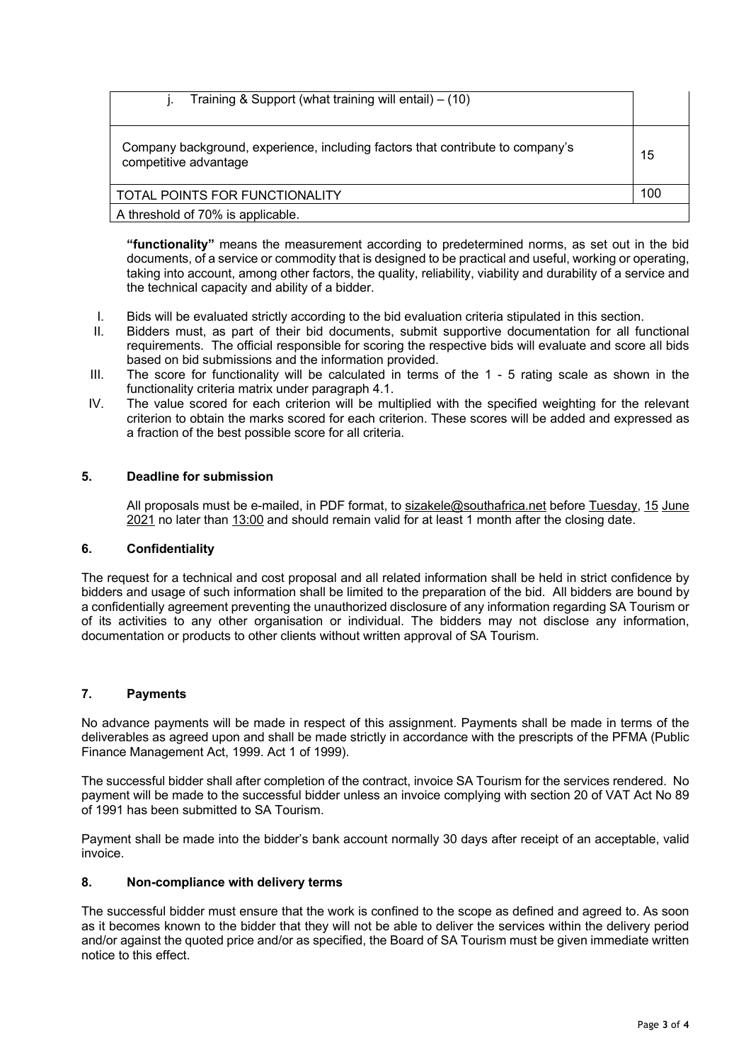| Training & Support (what training will entail) $-$ (10)                                                 |     |
|---------------------------------------------------------------------------------------------------------|-----|
| Company background, experience, including factors that contribute to company's<br>competitive advantage |     |
| TOTAL POINTS FOR FUNCTIONALITY                                                                          | 100 |
| A threshold of 70% is applicable.                                                                       |     |

**"functionality"** means the measurement according to predetermined norms, as set out in the bid documents, of a service or commodity that is designed to be practical and useful, working or operating, taking into account, among other factors, the quality, reliability, viability and durability of a service and the technical capacity and ability of a bidder.

- I. Bids will be evaluated strictly according to the bid evaluation criteria stipulated in this section.
- Bidders must, as part of their bid documents, submit supportive documentation for all functional requirements. The official responsible for scoring the respective bids will evaluate and score all bids based on bid submissions and the information provided.
- III. The score for functionality will be calculated in terms of the 1 5 rating scale as shown in the functionality criteria matrix under paragraph 4.1.
- IV. The value scored for each criterion will be multiplied with the specified weighting for the relevant criterion to obtain the marks scored for each criterion. These scores will be added and expressed as a fraction of the best possible score for all criteria.

## **5. Deadline for submission**

All proposals must be e-mailed, in PDF format, to sizakele@southafrica.net before Tuesday, 15 June 2021 no later than 13:00 and should remain valid for at least 1 month after the closing date.

#### **6. Confidentiality**

The request for a technical and cost proposal and all related information shall be held in strict confidence by bidders and usage of such information shall be limited to the preparation of the bid. All bidders are bound by a confidentially agreement preventing the unauthorized disclosure of any information regarding SA Tourism or of its activities to any other organisation or individual. The bidders may not disclose any information, documentation or products to other clients without written approval of SA Tourism.

# **7. Payments**

No advance payments will be made in respect of this assignment. Payments shall be made in terms of the deliverables as agreed upon and shall be made strictly in accordance with the prescripts of the PFMA (Public Finance Management Act, 1999. Act 1 of 1999).

The successful bidder shall after completion of the contract, invoice SA Tourism for the services rendered. No payment will be made to the successful bidder unless an invoice complying with section 20 of VAT Act No 89 of 1991 has been submitted to SA Tourism.

Payment shall be made into the bidder's bank account normally 30 days after receipt of an acceptable, valid invoice.

## **8. Non-compliance with delivery terms**

The successful bidder must ensure that the work is confined to the scope as defined and agreed to. As soon as it becomes known to the bidder that they will not be able to deliver the services within the delivery period and/or against the quoted price and/or as specified, the Board of SA Tourism must be given immediate written notice to this effect.